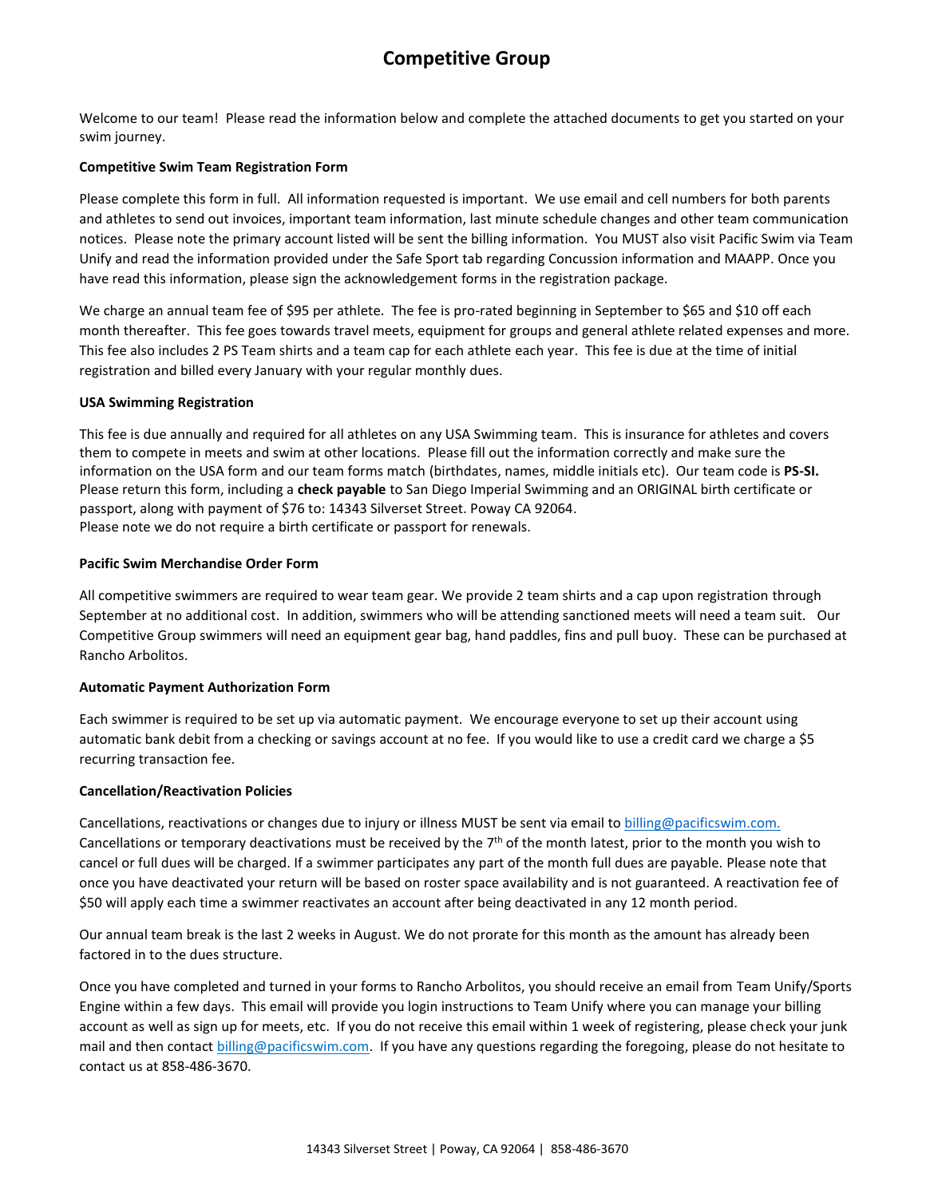### **Competitive Group**

Welcome to our team! Please read the information below and complete the attached documents to get you started on your swim journey.

#### **Competitive Swim Team Registration Form**

Please complete this form in full. All information requested is important. We use email and cell numbers for both parents and athletes to send out invoices, important team information, last minute schedule changes and other team communication notices. Please note the primary account listed will be sent the billing information. You MUST also visit Pacific Swim via Team Unify and read the information provided under the Safe Sport tab regarding Concussion information and MAAPP. Once you have read this information, please sign the acknowledgement forms in the registration package.

We charge an annual team fee of \$95 per athlete. The fee is pro-rated beginning in September to \$65 and \$10 off each month thereafter. This fee goes towards travel meets, equipment for groups and general athlete related expenses and more. This fee also includes 2 PS Team shirts and a team cap for each athlete each year. This fee is due at the time of initial registration and billed every January with your regular monthly dues.

#### **USA Swimming Registration**

This fee is due annually and required for all athletes on any USA Swimming team. This is insurance for athletes and covers them to compete in meets and swim at other locations. Please fill out the information correctly and make sure the information on the USA form and our team forms match (birthdates, names, middle initials etc). Our team code is **PS-SI.** Please return this form, including a **check payable** to San Diego Imperial Swimming and an ORIGINAL birth certificate or passport, along with payment of \$76 to: 14343 Silverset Street. Poway CA 92064. Please note we do not require a birth certificate or passport for renewals.

#### **Pacific Swim Merchandise Order Form**

All competitive swimmers are required to wear team gear. We provide 2 team shirts and a cap upon registration through September at no additional cost. In addition, swimmers who will be attending sanctioned meets will need a team suit. Our Competitive Group swimmers will need an equipment gear bag, hand paddles, fins and pull buoy. These can be purchased at Rancho Arbolitos.

#### **Automatic Payment Authorization Form**

Each swimmer is required to be set up via automatic payment. We encourage everyone to set up their account using automatic bank debit from a checking or savings account at no fee. If you would like to use a credit card we charge a \$5 recurring transaction fee.

#### **Cancellation/Reactivation Policies**

Cancellations, reactivations or changes due to injury or illness MUST be sent via email to [billing@pacificswim.](mailto:Alex@pacificswim.com)com. Cancellations or temporary deactivations must be received by the 7<sup>th</sup> of the month latest, prior to the month you wish to cancel or full dues will be charged. If a swimmer participates any part of the month full dues are payable. Please note that once you have deactivated your return will be based on roster space availability and is not guaranteed. A reactivation fee of \$50 will apply each time a swimmer reactivates an account after being deactivated in any 12 month period.

Our annual team break is the last 2 weeks in August. We do not prorate for this month as the amount has already been factored in to the dues structure.

Once you have completed and turned in your forms to Rancho Arbolitos, you should receive an email from [Team Unify/Sports](mailto:Team%20Unify/Sports%20Engine%20within%20a%20few%20days.%20%20This%20email%20will%20provide%20you%20login%20instructions%20to%20Team%20Unify%20where%20you%20can%20manage%20your%20billing%20account%20as%20well%20as%20sign%20up%20for%20meets,%20etc.%20%20If%20you%20do%20not%20receive%20this%20email%20within%201%20week%20of%20registering,%20please%20check%20your%20junk%20mail%20and%20then%20contact%20billing@pacificswim.com.)  [Engine within a few days. This email will provide you login instructions to Team Unify where you can manage your billing](mailto:Team%20Unify/Sports%20Engine%20within%20a%20few%20days.%20%20This%20email%20will%20provide%20you%20login%20instructions%20to%20Team%20Unify%20where%20you%20can%20manage%20your%20billing%20account%20as%20well%20as%20sign%20up%20for%20meets,%20etc.%20%20If%20you%20do%20not%20receive%20this%20email%20within%201%20week%20of%20registering,%20please%20check%20your%20junk%20mail%20and%20then%20contact%20billing@pacificswim.com.)  [account as well as sign up for meets, etc. If you do not receive this email within 1 week of registering, please check your junk](mailto:Team%20Unify/Sports%20Engine%20within%20a%20few%20days.%20%20This%20email%20will%20provide%20you%20login%20instructions%20to%20Team%20Unify%20where%20you%20can%20manage%20your%20billing%20account%20as%20well%20as%20sign%20up%20for%20meets,%20etc.%20%20If%20you%20do%20not%20receive%20this%20email%20within%201%20week%20of%20registering,%20please%20check%20your%20junk%20mail%20and%20then%20contact%20billing@pacificswim.com.)  [mail and then contact billing@pacificswim.com.](mailto:Team%20Unify/Sports%20Engine%20within%20a%20few%20days.%20%20This%20email%20will%20provide%20you%20login%20instructions%20to%20Team%20Unify%20where%20you%20can%20manage%20your%20billing%20account%20as%20well%20as%20sign%20up%20for%20meets,%20etc.%20%20If%20you%20do%20not%20receive%20this%20email%20within%201%20week%20of%20registering,%20please%20check%20your%20junk%20mail%20and%20then%20contact%20billing@pacificswim.com.) If you have any questions regarding the foregoing, please do not hesitate to contact us at 858-486-3670.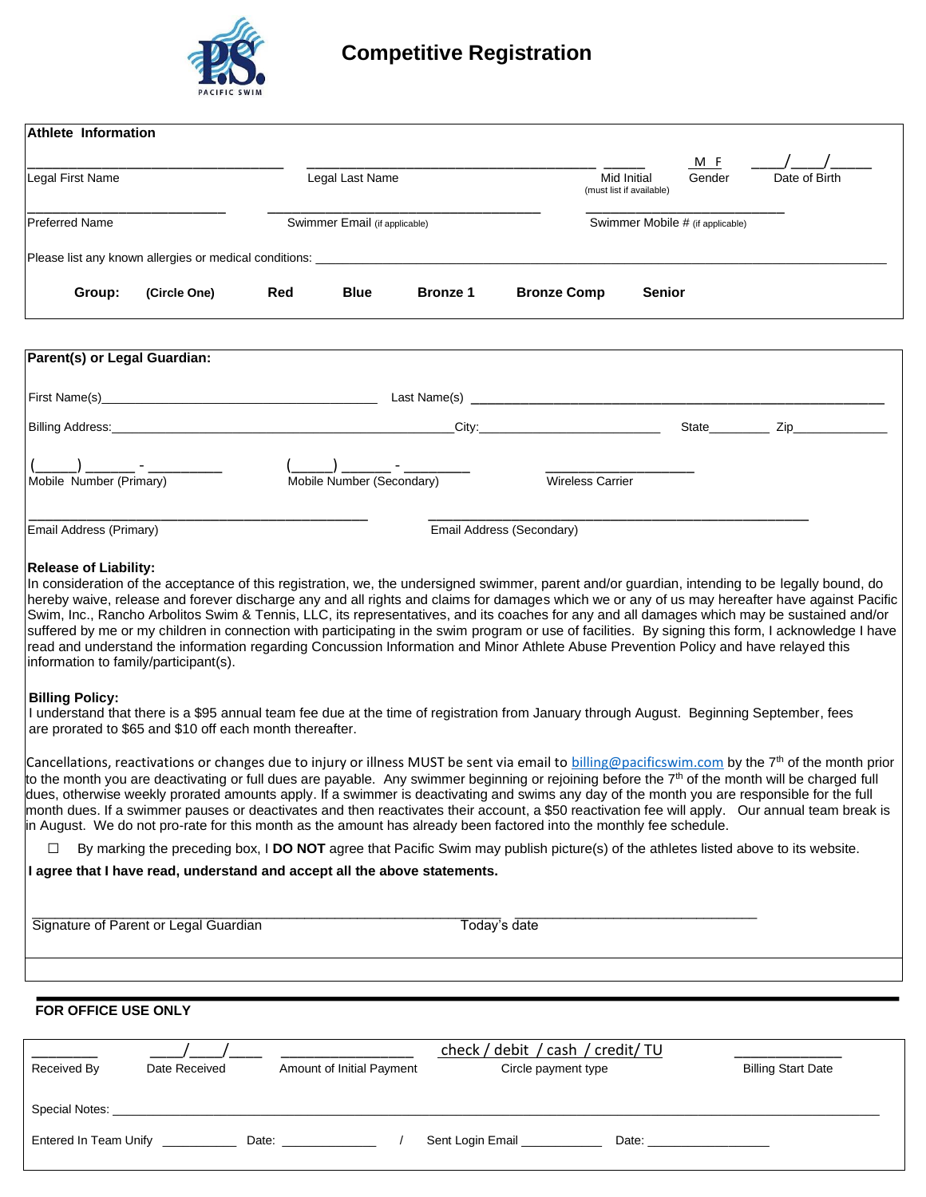

### **Competitive Registration**

| <b>Athlete Information</b>                                                                                                                                                                                                                                                                        |              |            |                               |                 |                           |                         |                                                |                |                                                                                                                 |
|---------------------------------------------------------------------------------------------------------------------------------------------------------------------------------------------------------------------------------------------------------------------------------------------------|--------------|------------|-------------------------------|-----------------|---------------------------|-------------------------|------------------------------------------------|----------------|-----------------------------------------------------------------------------------------------------------------|
| Legal First Name<br><b>Preferred Name</b>                                                                                                                                                                                                                                                         |              |            | Legal Last Name               |                 |                           |                         | <b>Mid Initial</b><br>(must list if available) | M F<br>Gender  | Date of Birth                                                                                                   |
|                                                                                                                                                                                                                                                                                                   |              |            | Swimmer Email (if applicable) |                 |                           |                         | Swimmer Mobile # (if applicable)               |                |                                                                                                                 |
|                                                                                                                                                                                                                                                                                                   |              |            |                               |                 |                           |                         |                                                |                |                                                                                                                 |
| Group:                                                                                                                                                                                                                                                                                            | (Circle One) | <b>Red</b> | <b>Blue</b>                   | <b>Bronze 1</b> | <b>Bronze Comp</b>        |                         | <b>Senior</b>                                  |                |                                                                                                                 |
|                                                                                                                                                                                                                                                                                                   |              |            |                               |                 |                           |                         |                                                |                |                                                                                                                 |
| Parent(s) or Legal Guardian:                                                                                                                                                                                                                                                                      |              |            |                               |                 |                           |                         |                                                |                |                                                                                                                 |
|                                                                                                                                                                                                                                                                                                   |              |            |                               |                 |                           |                         |                                                |                |                                                                                                                 |
|                                                                                                                                                                                                                                                                                                   |              |            |                               |                 | City: <b>City: City:</b>  |                         |                                                |                |                                                                                                                 |
|                                                                                                                                                                                                                                                                                                   |              |            |                               |                 |                           |                         |                                                | State_________ | Zip and the second state of the second state of the second state of the second state of the second state of the |
|                                                                                                                                                                                                                                                                                                   |              |            |                               |                 |                           |                         |                                                |                |                                                                                                                 |
| Mobile Number (Primary)                                                                                                                                                                                                                                                                           |              |            | Mobile Number (Secondary)     |                 |                           | <b>Wireless Carrier</b> |                                                |                |                                                                                                                 |
| Email Address (Primary)                                                                                                                                                                                                                                                                           |              |            |                               |                 | Email Address (Secondary) |                         |                                                |                |                                                                                                                 |
|                                                                                                                                                                                                                                                                                                   |              |            |                               |                 |                           |                         |                                                |                |                                                                                                                 |
| <b>Release of Liability:</b>                                                                                                                                                                                                                                                                      |              |            |                               |                 |                           |                         |                                                |                |                                                                                                                 |
| In consideration of the acceptance of this registration, we, the undersigned swimmer, parent and/or guardian, intending to be legally bound, do<br>hereby waive, release and forever discharge any and all rights and claims for damages which we or any of us may hereafter have against Pacific |              |            |                               |                 |                           |                         |                                                |                |                                                                                                                 |
| Swim, Inc., Rancho Arbolitos Swim & Tennis, LLC, its representatives, and its coaches for any and all damages which may be sustained and/or                                                                                                                                                       |              |            |                               |                 |                           |                         |                                                |                |                                                                                                                 |
| suffered by me or my children in connection with participating in the swim program or use of facilities. By signing this form, I acknowledge I have                                                                                                                                               |              |            |                               |                 |                           |                         |                                                |                |                                                                                                                 |
| read and understand the information regarding Concussion Information and Minor Athlete Abuse Prevention Policy and have relayed this<br>information to family/participant(s).                                                                                                                     |              |            |                               |                 |                           |                         |                                                |                |                                                                                                                 |

#### **Billing Policy:**

I understand that there is a \$95 annual team fee due at the time of registration from January through August. Beginning September, fees are prorated to \$65 and \$10 off each month thereafter.

Cancellations, reactivations or changes due to injury or illness MUST be sent via email to [billing@pacificswim.](mailto:Alex@pacificswim.com)com by the 7<sup>th</sup> of the month prior to the month you are deactivating or full dues are payable. Any swimmer beginning or rejoining before the 7<sup>th</sup> of the month will be charged full dues, otherwise weekly prorated amounts apply. If a swimmer is deactivating and swims any day of the month you are responsible for the full month dues. If a swimmer pauses or deactivates and then reactivates their account, a \$50 reactivation fee will apply. Our annual team break is in August. We do not pro-rate for this month as the amount has already been factored into the monthly fee schedule.

□ By marking the preceding box, I **DO NOT** agree that Pacific Swim may publish picture(s) of the athletes listed above to its website.

#### **I agree that I have read, understand and accept all the above statements.**

Signature of Parent or Legal Guardian Today's date

\_\_\_\_\_\_\_\_\_\_\_\_\_\_\_\_\_\_\_\_\_\_\_\_\_\_\_\_\_\_\_\_\_\_\_\_\_\_\_\_\_\_\_\_\_\_\_\_\_\_\_\_\_\_\_\_\_\_\_\_\_\_ \_\_\_\_\_\_\_\_\_\_\_\_\_\_\_\_\_\_\_\_\_\_\_\_\_\_\_\_\_\_\_\_

#### **FOR OFFICE USE ONLY**

| Received By           | Date Received | Amount of Initial Payment | check / debit / cash / credit/ TU<br>Circle payment type | <b>Billing Start Date</b> |
|-----------------------|---------------|---------------------------|----------------------------------------------------------|---------------------------|
| Special Notes:        |               |                           |                                                          |                           |
| Entered In Team Unify |               | Date:                     | Sent Login Email                                         | Date:                     |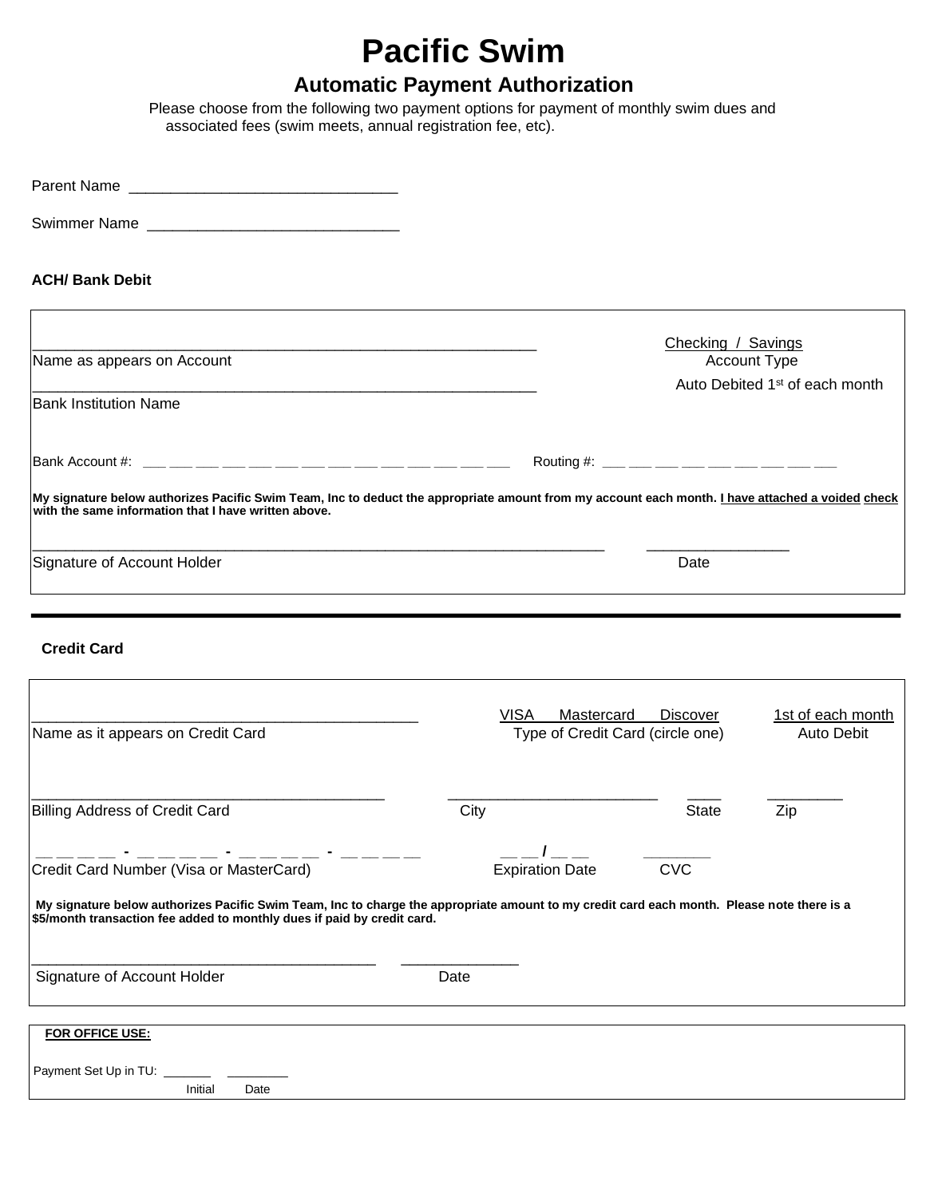## **Pacific Swim**

### **Automatic Payment Authorization**

Please choose from the following two payment options for payment of monthly swim dues and associated fees (swim meets, annual registration fee, etc).

| <b>ACH/ Bank Debit</b>                               |                                                                                                                                                         |
|------------------------------------------------------|---------------------------------------------------------------------------------------------------------------------------------------------------------|
| Name as appears on Account                           | Checking / Savings<br>Account Type                                                                                                                      |
| <b>Bank Institution Name</b>                         | Auto Debited 1 <sup>st</sup> of each month                                                                                                              |
|                                                      | Routing #: ___ ___ ___ ___ ___ ___ ___ ___ ___                                                                                                          |
| with the same information that I have written above. | My signature below authorizes Pacific Swim Team, Inc to deduct the appropriate amount from my account each month. <i>I have attached a voided check</i> |
| Signature of Account Holder                          | Date                                                                                                                                                    |
|                                                      |                                                                                                                                                         |
| <b>Credit Card</b>                                   |                                                                                                                                                         |
|                                                      | <b>VISA</b><br>1st of each month<br>Mastercard<br><b>Discover</b>                                                                                       |

| Name as it appears on Credit Card                                                                      | Type of Credit Card (circle one) | Auto Debit   |     |
|--------------------------------------------------------------------------------------------------------|----------------------------------|--------------|-----|
| <b>Billing Address of Credit Card</b>                                                                  | City                             | <b>State</b> | Zip |
|                                                                                                        |                                  |              |     |
| Credit Card Number (Visa or MasterCard)                                                                | <b>Expiration Date</b>           | <b>CVC</b>   |     |
| \$5/month transaction fee added to monthly dues if paid by credit card.<br>Signature of Account Holder | Date                             |              |     |
| FOR OFFICE USE:                                                                                        |                                  |              |     |
|                                                                                                        |                                  |              |     |
| Initial<br>Date                                                                                        |                                  |              |     |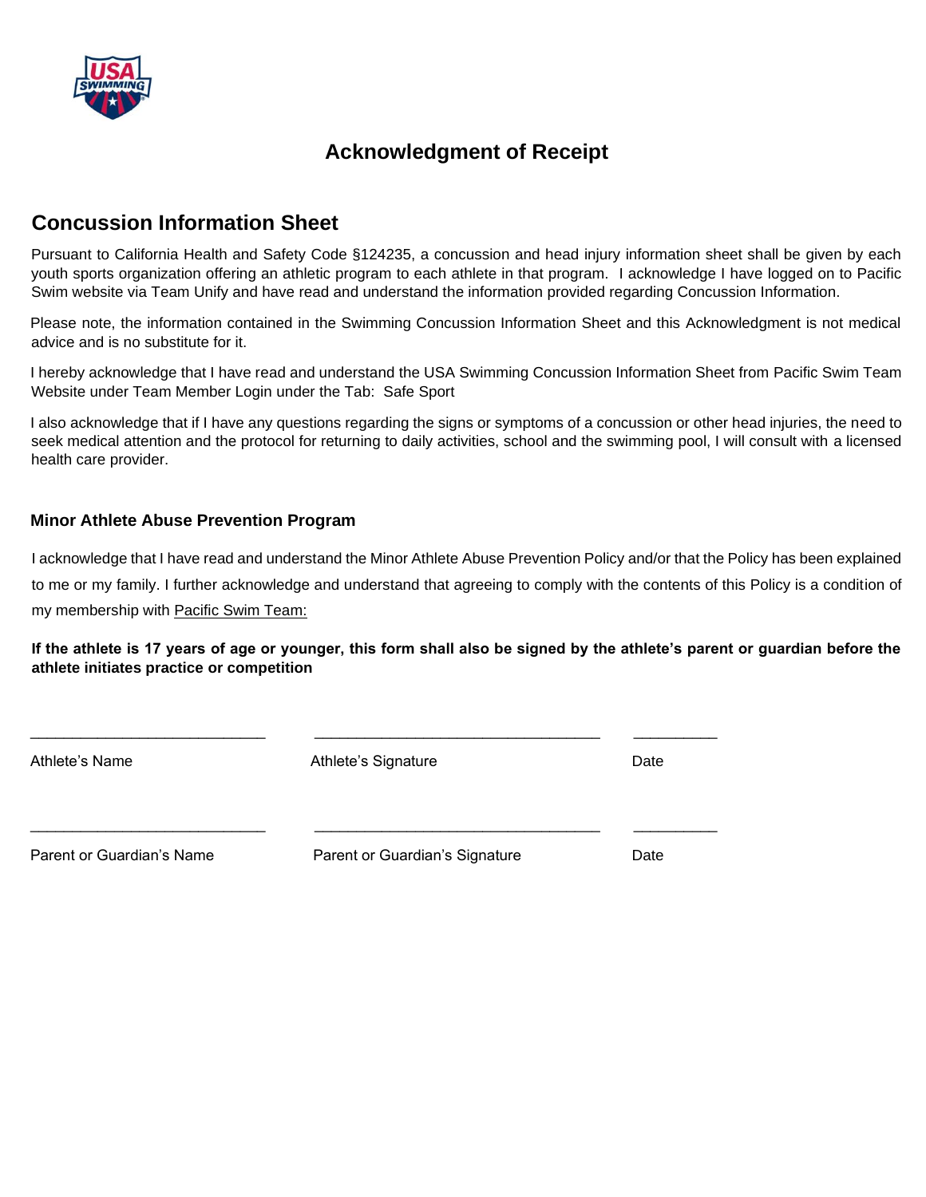

### **Acknowledgment of Receipt**

### **Concussion Information Sheet**

Pursuant to California Health and Safety Code §124235, a concussion and head injury information sheet shall be given by each youth sports organization offering an athletic program to each athlete in that program. I acknowledge I have logged on to Pacific Swim website via Team Unify and have read and understand the information provided regarding Concussion Information.

Please note, the information contained in the Swimming Concussion Information Sheet and this Acknowledgment is not medical advice and is no substitute for it.

I hereby acknowledge that I have read and understand the USA Swimming Concussion Information Sheet from Pacific Swim Team Website under Team Member Login under the Tab: Safe Sport

I also acknowledge that if I have any questions regarding the signs or symptoms of a concussion or other head injuries, the need to seek medical attention and the protocol for returning to daily activities, school and the swimming pool, I will consult with a licensed health care provider.

#### **Minor Athlete Abuse Prevention Program**

I acknowledge that I have read and understand the Minor Athlete Abuse Prevention Policy and/or that the Policy has been explained to me or my family. I further acknowledge and understand that agreeing to comply with the contents of this Policy is a condition of my membership with Pacific Swim Team:

**If the athlete is 17 years of age or younger, this form shall also be signed by the athlete's parent or guardian before the athlete initiates practice or competition**

| Athlete's Name            | Athlete's Signature            | Date |
|---------------------------|--------------------------------|------|
| Parent or Guardian's Name | Parent or Guardian's Signature | Date |

\_\_\_\_\_\_\_\_\_\_\_\_\_\_\_\_\_\_\_\_\_\_\_\_\_\_\_\_ \_\_\_\_\_\_\_\_\_\_\_\_\_\_\_\_\_\_\_\_\_\_\_\_\_\_\_\_\_\_\_\_\_\_ \_\_\_\_\_\_\_\_\_\_